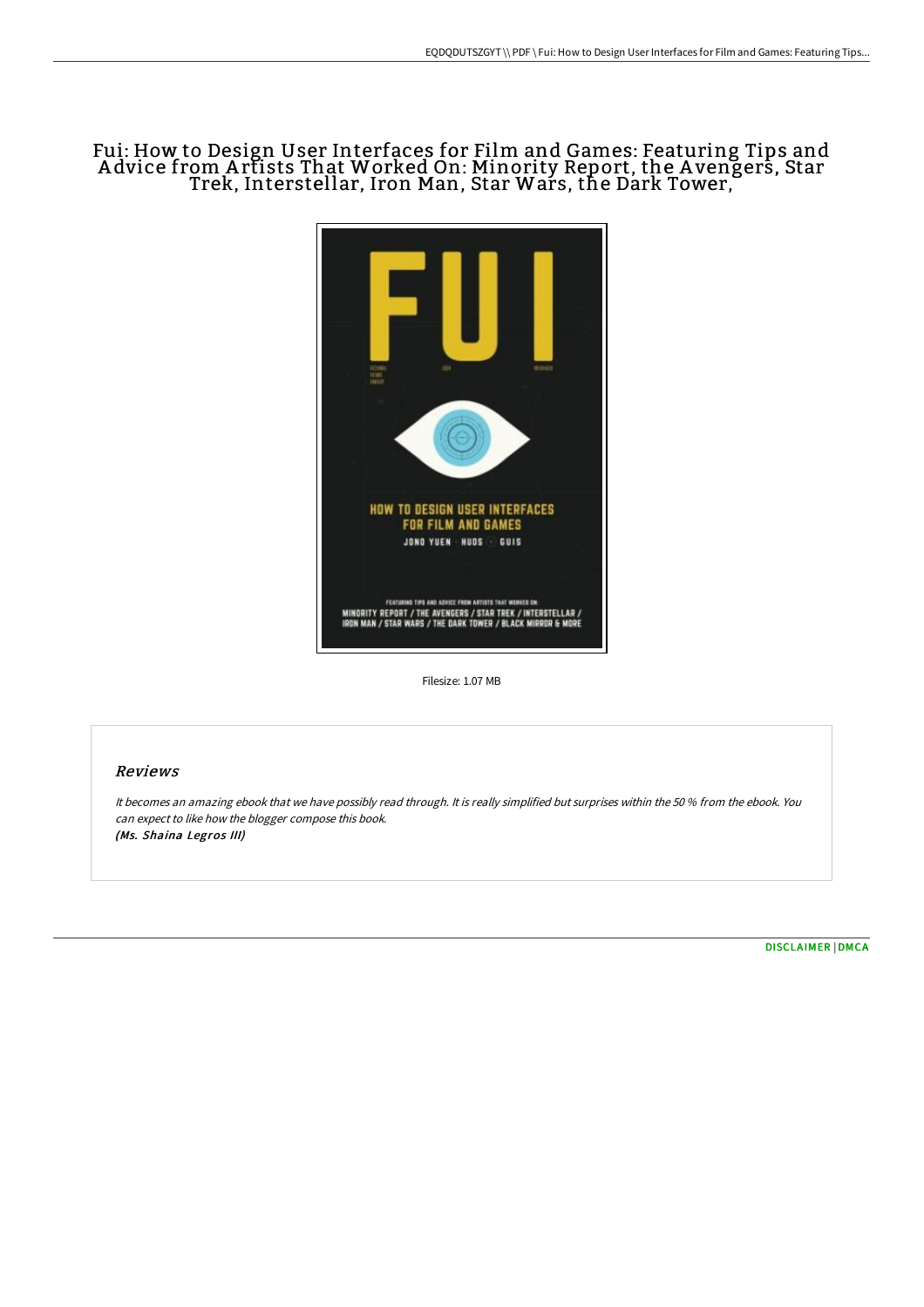# Fui: How to Design User Interfaces for Film and Games: Featuring Tips and A dvice from A rtists That Worked On: Minority Report, the A vengers, Star Trek, Interstellar, Iron Man, Star Wars, the Dark Tower,



Filesize: 1.07 MB

## Reviews

It becomes an amazing ebook that we have possibly read through. It is really simplified but surprises within the <sup>50</sup> % from the ebook. You can expect to like how the blogger compose this book. (Ms. Shaina Legros III)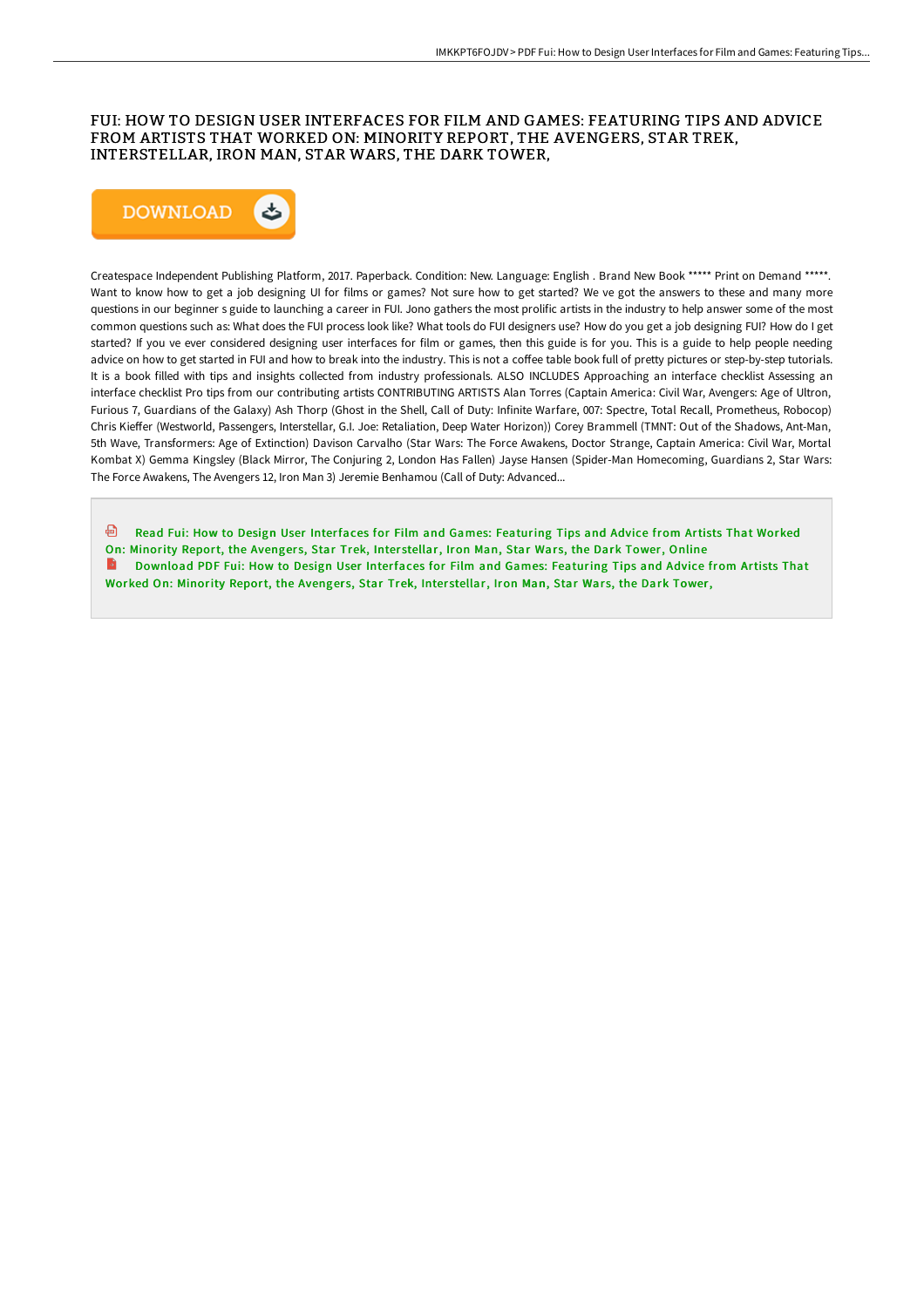### FUI: HOW TO DESIGN USER INTERFACES FOR FILM AND GAMES: FEATURING TIPS AND ADVICE FROM ARTISTS THAT WORKED ON: MINORITY REPORT, THE AVENGERS, STAR TREK, INTERSTELLAR, IRON MAN, STAR WARS, THE DARK TOWER,



Createspace Independent Publishing Platform, 2017. Paperback. Condition: New. Language: English . Brand New Book \*\*\*\*\* Print on Demand \*\*\*\*\*. Want to know how to get a job designing UI for films or games? Not sure how to get started? We ve got the answers to these and many more questions in our beginner s guide to launching a career in FUI. Jono gathers the most prolific artists in the industry to help answer some of the most common questions such as: What does the FUI process look like? What tools do FUI designers use? How do you get a job designing FUI? How do I get started? If you ve ever considered designing user interfaces for film or games, then this guide is for you. This is a guide to help people needing advice on how to get started in FUI and how to break into the industry. This is not a coffee table book full of pretty pictures or step-by-step tutorials. It is a book filled with tips and insights collected from industry professionals. ALSO INCLUDES Approaching an interface checklist Assessing an interface checklist Pro tips from our contributing artists CONTRIBUTING ARTISTS Alan Torres (Captain America: Civil War, Avengers: Age of Ultron, Furious 7, Guardians of the Galaxy) Ash Thorp (Ghost in the Shell, Call of Duty: Infinite Warfare, 007: Spectre, Total Recall, Prometheus, Robocop) Chris KieFer (Westworld, Passengers, Interstellar, G.I. Joe: Retaliation, Deep Water Horizon)) Corey Brammell (TMNT: Out of the Shadows, Ant-Man, 5th Wave, Transformers: Age of Extinction) Davison Carvalho (Star Wars: The Force Awakens, Doctor Strange, Captain America: Civil War, Mortal Kombat X) Gemma Kingsley (Black Mirror, The Conjuring 2, London Has Fallen) Jayse Hansen (Spider-Man Homecoming, Guardians 2, Star Wars: The Force Awakens, The Avengers 12, Iron Man 3) Jeremie Benhamou (Call of Duty: Advanced...

- Read Fui: How to Design User [Interfaces](http://techno-pub.tech/fui-how-to-design-user-interfaces-for-film-and-g.html) for Film and Games: Featuring Tips and Advice from Artists That Worked
- On: Minority Report, the Avengers, Star Trek, Interstellar, Iron Man, Star Wars, the Dark Tower, Online
- B Download PDF Fui: How to Design User [Interfaces](http://techno-pub.tech/fui-how-to-design-user-interfaces-for-film-and-g.html) for Film and Games: Featuring Tips and Advice from Artists That Worked On: Minority Report, the Avengers, Star Trek, Interstellar, Iron Man, Star Wars, the Dark Tower,